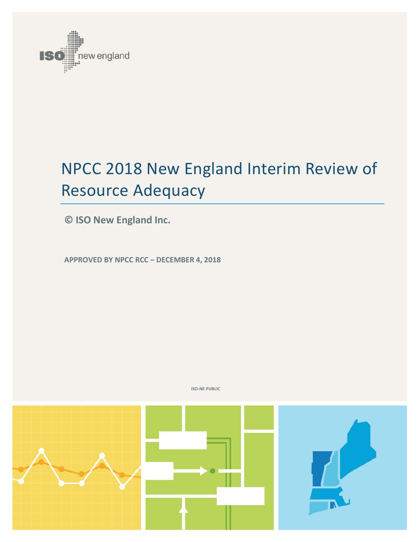

# NPCC 2018 New England Interim Review of Resource Adequacy

**© ISO New England Inc.**

**APPROVED BY NPCC RCC – DECEMBER 4, 2018**



**ISO-NE PUBLIC**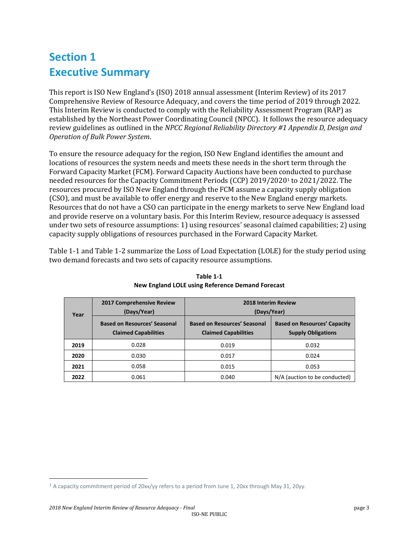### **Section 1 Executive Summary**

This report is ISO New England's (ISO) 2018 annual assessment (Interim Review) of its 2017 Comprehensive Review of Resource Adequacy, and covers the time period of 2019 through 2022. This Interim Review is conducted to comply with the Reliability Assessment Program (RAP) as established by the Northeast Power Coordinating Council (NPCC). It follows the resource adequacy review guidelines as outlined in the *NPCC Regional Reliability Directory #1 Appendix D, Design and Operation of Bulk Power System*.

To ensure the resource adequacy for the region, ISO New England identifies the amount and locations of resources the system needs and meets these needs in the short term through the Forward Capacity Market (FCM). Forward Capacity Auctions have been co[n](#page-2-1)ducted to purchase needed resources for the Capacity Commitment Periods (CCP) 2019/20201 to 2021/2022. The resources procured by ISO New England through the FCM assume a capacity supply obligation (CSO), and must be available to offer energy and reserve to the New England energy markets. Resources that do not have a CSO can participate in the energy markets to serve New England load and provide reserve on a voluntary basis. For this Interim Review, resource adequacy is assessed under two sets of resource assumptions: 1) using resources' seasonal claimed capabilities; 2) using capacity supply obligations of resources purchased in the Forward Capacity Market.

<span id="page-2-0"></span>[Table 1-1](#page-2-0) and Table 1-2 summarize the Loss of Load Expectation (LOLE) for the study period using two demand forecasts and two sets of capacity resource assumptions.

| Year | 2017 Comprehensive Review<br>(Days/Year)                           | <b>2018 Interim Review</b><br>(Days/Year)                          |                                                                  |
|------|--------------------------------------------------------------------|--------------------------------------------------------------------|------------------------------------------------------------------|
|      | <b>Based on Resources' Seasonal</b><br><b>Claimed Capabilities</b> | <b>Based on Resources' Seasonal</b><br><b>Claimed Capabilities</b> | <b>Based on Resources' Capacity</b><br><b>Supply Obligations</b> |
| 2019 | 0.028                                                              | 0.019                                                              | 0.032                                                            |
| 2020 | 0.030                                                              | 0.017                                                              | 0.024                                                            |
| 2021 | 0.058                                                              | 0.015                                                              | 0.053                                                            |
| 2022 | 0.061                                                              | 0.040                                                              | N/A (auction to be conducted)                                    |

**Table 1-1 New England LOLE using Reference Demand Forecast**

<span id="page-2-1"></span><sup>&</sup>lt;sup>1</sup> A capacity commitment period of 20xx/yy refers to a period from June 1, 20xx through May 31, 20yy.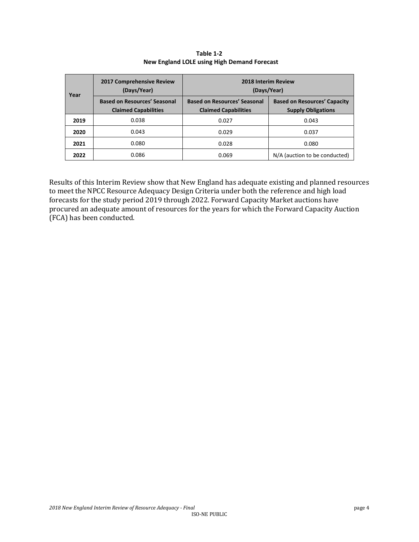| Year | 2017 Comprehensive Review<br>(Days/Year)                           | 2018 Interim Review<br>(Days/Year)                                 |                                                                  |  |
|------|--------------------------------------------------------------------|--------------------------------------------------------------------|------------------------------------------------------------------|--|
|      | <b>Based on Resources' Seasonal</b><br><b>Claimed Capabilities</b> | <b>Based on Resources' Seasonal</b><br><b>Claimed Capabilities</b> | <b>Based on Resources' Capacity</b><br><b>Supply Obligations</b> |  |
| 2019 | 0.038                                                              | 0.027                                                              | 0.043                                                            |  |
| 2020 | 0.043                                                              | 0.029                                                              | 0.037                                                            |  |
| 2021 | 0.080                                                              | 0.028                                                              | 0.080                                                            |  |
| 2022 | 0.086                                                              | 0.069                                                              | N/A (auction to be conducted)                                    |  |

**Table 1-2 New England LOLE using High Demand Forecast**

Results of this Interim Review show that New England has adequate existing and planned resources to meet the NPCC Resource Adequacy Design Criteria under both the reference and high load forecasts for the study period 2019 through 2022. Forward Capacity Market auctions have procured an adequate amount of resources for the years for which the Forward Capacity Auction (FCA) has been conducted.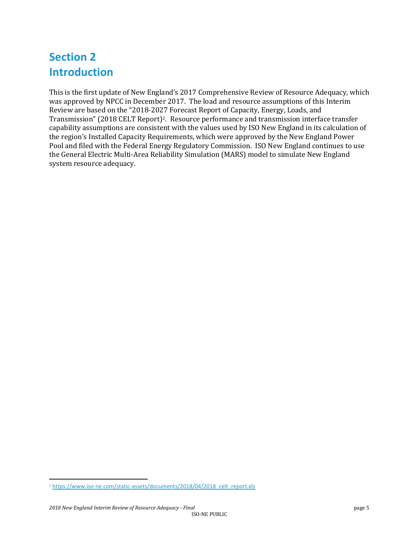### **Section 2 Introduction**

This is the first update of New England's 2017 Comprehensive Review of Resource Adequacy, which was approved by NPCC in December 2017. The load and resource assumptions of this Interim Review are based on the "2018-2027 Forecast Report of Capacity, Energy, Loads, and Transmission" (2018 CELT Report)[2.](#page-4-0) Resource performance and transmission interface transfer capability assumptions are consistent with the values used by ISO New England in its calculation of the region's Installed Capacity Requirements, which were approved by the New England Power Pool and filed with the Federal Energy Regulatory Commission. ISO New England continues to use the General Electric Multi-Area Reliability Simulation (MARS) model to simulate New England system resource adequacy.

<span id="page-4-0"></span>j *<sup>2</sup>* [https://www.iso-ne.com/static-assets/documents/2018/04/2018\\_celt\\_report.xls](https://www.iso-ne.com/static-assets/documents/2018/04/2018_celt_report.xls)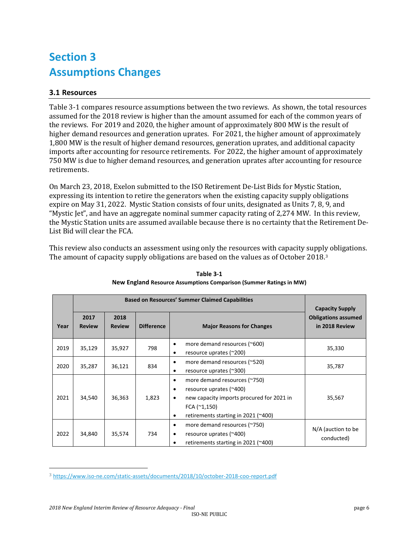### **Section 3 Assumptions Changes**

#### **3.1 Resources**

Table 3-1 compares resource assumptions between the two reviews. As shown, the total resources assumed for the 2018 review is higher than the amount assumed for each of the common years of the reviews. For 2019 and 2020, the higher amount of approximately 800 MW is the result of higher demand resources and generation uprates. For 2021, the higher amount of approximately 1,800 MW is the result of higher demand resources, generation uprates, and additional capacity imports after accounting for resource retirements. For 2022, the higher amount of approximately 750 MW is due to higher demand resources, and generation uprates after accounting for resource retirements.

On March 23, 2018, Exelon submitted to the ISO Retirement De-List Bids for Mystic Station, expressing its intention to retire the generators when the existing capacity supply obligations expire on May 31, 2022. Mystic Station consists of four units, designated as Units 7, 8, 9, and "Mystic Jet", and have an aggregate nominal summer capacity rating of 2,274 MW. In this review, the Mystic Station units are assumed available because there is no certainty that the Retirement De-List Bid will clear the FCA.

This review also conducts an assessment using only the resources with capacity suppl[y](#page-5-0) obligations. The amount of capacity supply obligations are based on the values as of October 2018.<sup>3</sup>

|      |                       | <b>Capacity Supply</b> |                   |                                                                                                                                                                                                  |                                              |
|------|-----------------------|------------------------|-------------------|--------------------------------------------------------------------------------------------------------------------------------------------------------------------------------------------------|----------------------------------------------|
| Year | 2017<br><b>Review</b> | 2018<br><b>Review</b>  | <b>Difference</b> | <b>Major Reasons for Changes</b>                                                                                                                                                                 | <b>Obligations assumed</b><br>in 2018 Review |
| 2019 | 35,129                | 35,927                 | 798               | more demand resources (~600)<br>٠<br>resource uprates (~200)<br>٠                                                                                                                                | 35,330                                       |
| 2020 | 35,287                | 36,121                 | 834               | more demand resources (~520)<br>٠<br>resource uprates (~300)<br>٠                                                                                                                                | 35,787                                       |
| 2021 | 34,540                | 36,363                 | 1,823             | more demand resources (~750)<br>٠<br>resource uprates (~400)<br>$\bullet$<br>new capacity imports procured for 2021 in<br>٠<br>FCA $(^{\sim}1, 150)$<br>retirements starting in 2021 (~400)<br>٠ | 35,567                                       |
| 2022 | 34,840                | 35,574                 | 734               | more demand resources (~750)<br>٠<br>resource uprates (~400)<br>٠<br>retirements starting in 2021 (~400)<br>٠                                                                                    | N/A (auction to be<br>conducted)             |

**Table 3-1 New England Resource Assumptions Comparison (Summer Ratings in MW)**

<span id="page-5-0"></span> <sup>3</sup> <https://www.iso-ne.com/static-assets/documents/2018/10/october-2018-coo-report.pdf>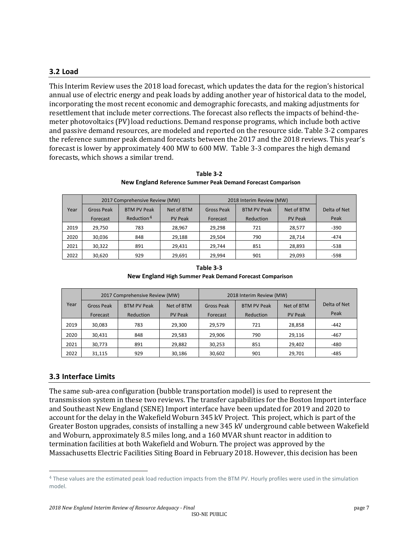#### **3.2 Load**

This Interim Review uses the 2018 load forecast, which updates the data for the region's historical annual use of electric energy and peak loads by adding another year of historical data to the model, incorporating the most recent economic and demographic forecasts, and making adjustments for resettlement that include meter corrections. The forecast also reflects the impacts of behind-themeter photovoltaics (PV)load reductions. Demand response programs, which include both active and passive demand resources, are modeled and reported on the resource side. Table 3-2 compares the reference summer peak demand forecasts between the 2017 and the 2018 reviews. This year's forecast is lower by approximately 400 MW to 600 MW. Table 3-3 compares the high demand forecasts, which shows a similar trend.

|      | 2017 Comprehensive Review (MW) |                        |                | 2018 Interim Review (MW) |                    |                |              |
|------|--------------------------------|------------------------|----------------|--------------------------|--------------------|----------------|--------------|
| Year | <b>Gross Peak</b>              | <b>BTM PV Peak</b>     | Net of BTM     | <b>Gross Peak</b>        | <b>BTM PV Peak</b> | Net of BTM     | Delta of Net |
|      | Forecast                       | Reduction <sup>4</sup> | <b>PV Peak</b> | Forecast                 | Reduction          | <b>PV Peak</b> | Peak         |
| 2019 | 29.750                         | 783                    | 28,967         | 29,298                   | 721                | 28,577         | $-390$       |
| 2020 | 30.036                         | 848                    | 29,188         | 29.504                   | 790                | 28,714         | $-474$       |
| 2021 | 30,322                         | 891                    | 29,431         | 29,744                   | 851                | 28,893         | $-538$       |
| 2022 | 30,620                         | 929                    | 29,691         | 29.994                   | 901                | 29,093         | -598         |

**Table 3-2 New England Reference Summer Peak Demand Forecast Comparison**

| Table 3-3                                               |
|---------------------------------------------------------|
| New England High Summer Peak Demand Forecast Comparison |

|      | 2017 Comprehensive Review (MW) |                    |                | 2018 Interim Review (MW) |                    |                |              |
|------|--------------------------------|--------------------|----------------|--------------------------|--------------------|----------------|--------------|
| Year | <b>Gross Peak</b>              | <b>BTM PV Peak</b> | Net of BTM     | Gross Peak               | <b>BTM PV Peak</b> | Net of BTM     | Delta of Net |
|      | Forecast                       | Reduction          | <b>PV Peak</b> | Forecast                 | Reduction          | <b>PV Peak</b> | Peak         |
| 2019 | 30,083                         | 783                | 29,300         | 29,579                   | 721                | 28,858         | $-442$       |
| 2020 | 30,431                         | 848                | 29,583         | 29,906                   | 790                | 29,116         | $-467$       |
| 2021 | 30,773                         | 891                | 29,882         | 30,253                   | 851                | 29,402         | $-480$       |
| 2022 | 31.115                         | 929                | 30,186         | 30,602                   | 901                | 29,701         | $-485$       |

#### **3.3 Interface Limits**

The same sub-area configuration (bubble transportation model) is used to represent the transmission system in these two reviews. The transfer capabilities for the Boston Import interface and Southeast New England (SENE) Import interface have been updated for 2019 and 2020 to account for the delay in the Wakefield Woburn 345 kV Project. This project, which is part of the Greater Boston upgrades, consists of installing a new 345 kV underground cable between Wakefield and Woburn, approximately 8.5 miles long, and a 160 MVAR shunt reactor in addition to termination facilities at both Wakefield and Woburn. The project was approved by the Massachusetts Electric Facilities Siting Board in February 2018. However, this decision has been

<span id="page-6-0"></span> <sup>4</sup> These values are the estimated peak load reduction impacts from the BTM PV. Hourly profiles were used in the simulation model.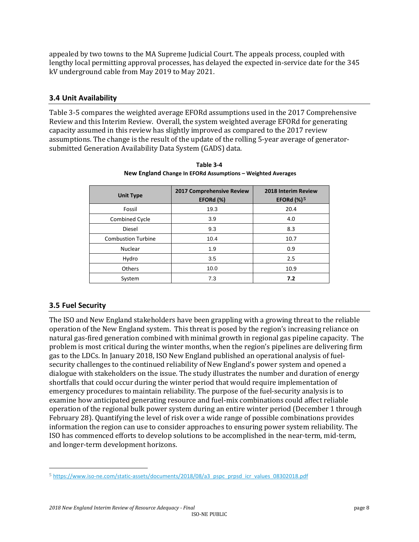appealed by two towns to the MA Supreme Judicial Court. The appeals process, coupled with lengthy local permitting approval processes, has delayed the expected in-service date for the 345 kV underground cable from May 2019 to May 2021.

#### **3.4 Unit Availability**

Table 3-5 compares the weighted average EFORd assumptions used in the 2017 Comprehensive Review and this Interim Review. Overall, the system weighted average EFORd for generating capacity assumed in this review has slightly improved as compared to the 2017 review assumptions. The change is the result of the update of the rolling 5-year average of generatorsubmitted Generation Availability Data System (GADS) data.

| <b>Unit Type</b>          | 2017 Comprehensive Review<br>EFORd (%) | 2018 Interim Review<br>EFORd $(\%)^5$ |
|---------------------------|----------------------------------------|---------------------------------------|
| Fossil                    | 19.3                                   | 20.4                                  |
| Combined Cycle            | 3.9                                    | 4.0                                   |
| <b>Diesel</b>             | 9.3                                    | 8.3                                   |
| <b>Combustion Turbine</b> | 10.4                                   | 10.7                                  |
| Nuclear                   | 1.9                                    | 0.9                                   |
| Hydro                     | 3.5                                    | 2.5                                   |
| <b>Others</b>             | 10.0                                   | 10.9                                  |
| System                    | 7.3                                    | 7.2                                   |

**Table 3-4 New England Change In EFORd Assumptions – Weighted Averages**

#### **3.5 Fuel Security**

The ISO and New England stakeholders have been grappling with a growing threat to the reliable operation of the New England system. This threat is posed by the region's increasing reliance on natural gas-fired generation combined with minimal growth in regional gas pipeline capacity. The problem is most critical during the winter months, when the region's pipelines are delivering firm gas to the LDCs. In January 2018, ISO New England published an operational analysis of fuelsecurity challenges to the continued reliability of New England's power system and opened a dialogue with stakeholders on the issue. The study illustrates the number and duration of energy shortfalls that could occur during the winter period that would require implementation of emergency procedures to maintain reliability. The purpose of the fuel-security analysis is to examine how anticipated generating resource and fuel-mix combinations could affect reliable operation of the regional bulk power system during an entire winter period (December 1 through February 28). Quantifying the level of risk over a wide range of possible combinations provides information the region can use to consider approaches to ensuring power system reliability. The ISO has commenced efforts to develop solutions to be accomplished in the near-term, mid-term, and longer-term development horizons.

<span id="page-7-0"></span> <sup>5</sup> [https://www.iso-ne.com/static-assets/documents/2018/08/a3\\_pspc\\_prpsd\\_icr\\_values\\_08302018.pdf](https://www.iso-ne.com/static-assets/documents/2018/08/a3_pspc_prpsd_icr_values_08302018.pdf)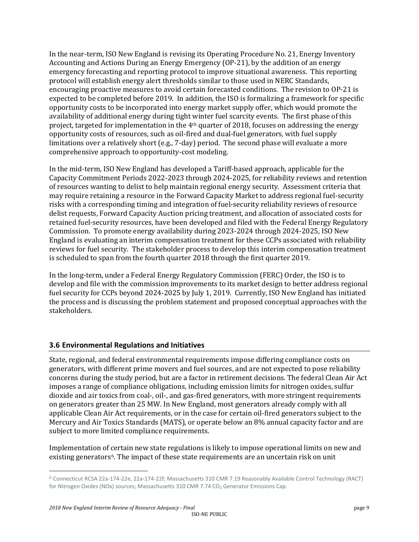In the near-term, ISO New England is revising its Operating Procedure No. 21, Energy Inventory Accounting and Actions During an Energy Emergency (OP-21), by the addition of an energy emergency forecasting and reporting protocol to improve situational awareness. This reporting protocol will establish energy alert thresholds similar to those used in NERC Standards, encouraging proactive measures to avoid certain forecasted conditions. The revision to OP-21 is expected to be completed before 2019. In addition, the ISO is formalizing a framework for specific opportunity costs to be incorporated into energy market supply offer, which would promote the availability of additional energy during tight winter fuel scarcity events. The first phase of this project, targeted for implementation in the  $4<sup>th</sup>$  quarter of 2018, focuses on addressing the energy opportunity costs of resources, such as oil-fired and dual-fuel generators, with fuel supply limitations over a relatively short (e.g., 7-day) period. The second phase will evaluate a more comprehensive approach to opportunity-cost modeling.

In the mid-term, ISO New England has developed a Tariff-based approach, applicable for the Capacity Commitment Periods 2022-2023 through 2024-2025, for reliability reviews and retention of resources wanting to delist to help maintain regional energy security. Assessment criteria that may require retaining a resource in the Forward Capacity Market to address regional fuel-security risks with a corresponding timing and integration of fuel-security reliability reviews of resource delist requests, Forward Capacity Auction pricing treatment, and allocation of associated costs for retained fuel-security resources, have been developed and filed with the Federal Energy Regulatory Commission. To promote energy availability during 2023-2024 through 2024-2025, ISO New England is evaluating an interim compensation treatment for these CCPs associated with reliability reviews for fuel security. The stakeholder process to develop this interim compensation treatment is scheduled to span from the fourth quarter 2018 through the first quarter 2019.

In the long-term, under a Federal Energy Regulatory Commission (FERC) Order, the ISO is to develop and file with the commission improvements to its market design to better address regional fuel security for CCPs beyond 2024-2025 by July 1, 2019. Currently, ISO New England has initiated the process and is discussing the problem statement and proposed conceptual approaches with the stakeholders.

#### **3.6 Environmental Regulations and Initiatives**

State, regional, and federal environmental requirements impose differing compliance costs on generators, with different prime movers and fuel sources, and are not expected to pose reliability concerns during the study period, but are a factor in retirement decisions. The federal Clean Air Act imposes a range of compliance obligations, including emission limits for nitrogen oxides, sulfur dioxide and air toxics from coal-, oil-, and gas-fired generators, with more stringent requirements on generators greater than 25 MW. In New England, most generators already comply with all applicable Clean Air Act requirements, or in the case for certain oil-fired generators subject to the Mercury and Air Toxics Standards (MATS), or operate below an 8% annual capacity factor and are subject to more limited compliance requirements.

Implementation of certain new state regulations is likely to impose operational limits on new and existing generators<sup>6</sup>. The impact of these state requirements are an uncertain risk on unit

<span id="page-8-0"></span> <sup>6</sup> Connecticut RCSA 22a-174-22e, 22a-174-22f; Massachusetts 310 CMR 7.19 Reasonably Available Control Technology (RACT) for Nitrogen Oxides (NOx) sources; Massachusetts 310 CMR 7.74 CO<sub>2</sub> Generator Emissions Cap.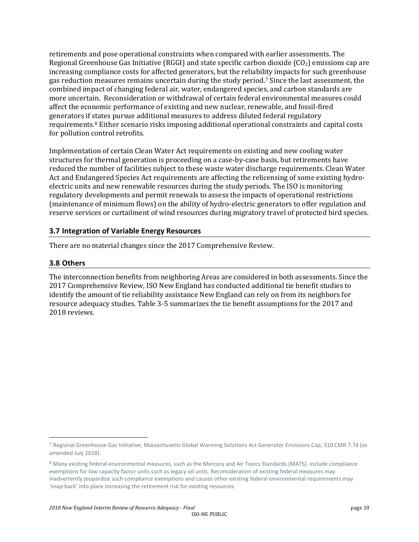retirements and pose operational constraints when compared with earlier assessments. The Regional Greenhouse Gas Initiative (RGGI) and state specific carbon dioxide ( $CO<sub>2</sub>$ ) emissions cap are increasing compliance costs for affected generators, but the reliability impacts for such greenhouse gas reduction measures remains uncertain during the study period.[7](#page-9-0) Since the last assessment, the combined impact of changing federal air, water, endangered species, and carbon standards are more uncertain. Reconsideration or withdrawal of certain federal environmental measures could affect the economic performance of existing and new nuclear, renewable, and fossil-fired generators if [sta](#page-9-1)tes pursue additional measures to address diluted federal regulatory requirements.8 Either scenario risks imposing additional operational constraints and capital costs for pollution control retrofits.

Implementation of certain Clean Water Act requirements on existing and new cooling water structures for thermal generation is proceeding on a case-by-case basis, but retirements have reduced the number of facilities subject to these waste water discharge requirements. Clean Water Act and Endangered Species Act requirements are affecting the relicensing of some existing hydroelectric units and new renewable resources during the study periods. The ISO is monitoring regulatory developments and permit renewals to assess the impacts of operational restrictions (maintenance of minimum flows) on the ability of hydro-electric generators to offer regulation and reserve services or curtailment of wind resources during migratory travel of protected bird species.

#### **3.7 Integration of Variable Energy Resources**

There are no material changes since the 2017 Comprehensive Review.

#### **3.8 Others**

The interconnection benefits from neighboring Areas are considered in both assessments. Since the 2017 Comprehensive Review, ISO New England has conducted additional tie benefit studies to identify the amount of tie reliability assistance New England can rely on from its neighbors for resource adequacy studies. Table 3-5 summarizes the tie benefit assumptions for the 2017 and 2018 reviews.

<span id="page-9-0"></span> <sup>7</sup> Regional Greenhouse Gas Initiative; Massachusetts Global Warming Solutions Act Generator Emissions Cap, 310 CMR 7.74 (as amended July 2018).

<span id="page-9-1"></span><sup>8</sup> Many existing federal environmental measures, such as the Mercury and Air Toxics Standards (MATS). include compliance exemptions for low capacity factor units such as legacy oil units. Reconsideration of existing federal measures may inadvertently jeopardize such compliance exemptions and causes other existing federal environmental requirements may 'snap-back' into place increasing the retirement risk for existing resources.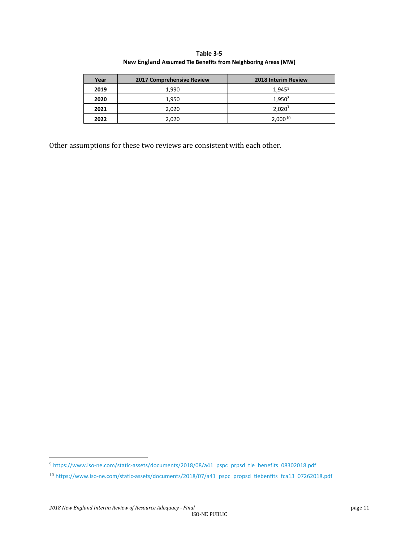**Table 3-5 New England Assumed Tie Benefits from Neighboring Areas (MW)**

| Year | 2017 Comprehensive Review | <b>2018 Interim Review</b> |
|------|---------------------------|----------------------------|
| 2019 | 1,990                     | $1,945^9$                  |
| 2020 | 1,950                     | 1,950                      |
| 2021 | 2,020                     | 2,020 <sup>7</sup>         |
| 2022 | 2,020                     | $2,000^{10}$               |

Other assumptions for these two reviews are consistent with each other.

<span id="page-10-0"></span><sup>9</sup> [https://www.iso-ne.com/static-assets/documents/2018/08/a41\\_pspc\\_prpsd\\_tie\\_benefits\\_08302018.pdf](https://www.iso-ne.com/static-assets/documents/2018/08/a41_pspc_prpsd_tie_benefits_08302018.pdf)

<span id="page-10-1"></span><sup>10</sup> [https://www.iso-ne.com/static-assets/documents/2018/07/a41\\_pspc\\_propsd\\_tiebenfits\\_fca13\\_07262018.pdf](https://www.iso-ne.com/static-assets/documents/2018/07/a41_pspc_propsd_tiebenfits_fca13_07262018.pdf)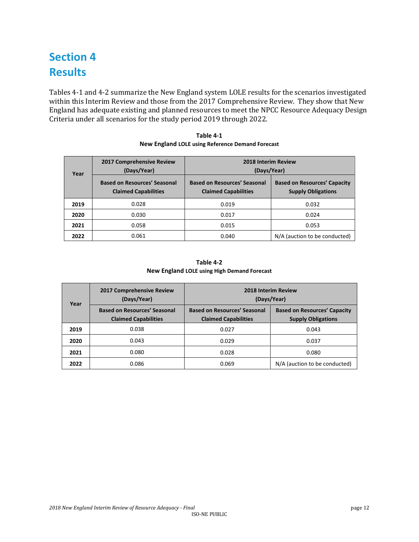## **Section 4 Results**

Tables 4-1 and 4-2 summarize the New England system LOLE results for the scenarios investigated within this Interim Review and those from the 2017 Comprehensive Review. They show that New England has adequate existing and planned resources to meet the NPCC Resource Adequacy Design Criteria under all scenarios for the study period 2019 through 2022.

| Year | 2017 Comprehensive Review<br>(Days/Year)                           | 2018 Interim Review<br>(Days/Year)                                 |                                                                  |  |
|------|--------------------------------------------------------------------|--------------------------------------------------------------------|------------------------------------------------------------------|--|
|      | <b>Based on Resources' Seasonal</b><br><b>Claimed Capabilities</b> | <b>Based on Resources' Seasonal</b><br><b>Claimed Capabilities</b> | <b>Based on Resources' Capacity</b><br><b>Supply Obligations</b> |  |
| 2019 | 0.028                                                              | 0.019                                                              | 0.032                                                            |  |
| 2020 | 0.030                                                              | 0.017                                                              | 0.024                                                            |  |
| 2021 | 0.058                                                              | 0.015                                                              | 0.053                                                            |  |
| 2022 | 0.061                                                              | 0.040                                                              | N/A (auction to be conducted)                                    |  |

**Table 4-1 New England LOLE using Reference Demand Forecast**

**Table 4-2 New England LOLE using High Demand Forecast**

| Year | 2017 Comprehensive Review<br>(Days/Year)                           |                                                                    | <b>2018 Interim Review</b><br>(Days/Year)                        |
|------|--------------------------------------------------------------------|--------------------------------------------------------------------|------------------------------------------------------------------|
|      | <b>Based on Resources' Seasonal</b><br><b>Claimed Capabilities</b> | <b>Based on Resources' Seasonal</b><br><b>Claimed Capabilities</b> | <b>Based on Resources' Capacity</b><br><b>Supply Obligations</b> |
| 2019 | 0.038                                                              | 0.027                                                              | 0.043                                                            |
| 2020 | 0.043                                                              | 0.029                                                              | 0.037                                                            |
| 2021 | 0.080                                                              | 0.028                                                              | 0.080                                                            |
| 2022 | 0.086                                                              | 0.069                                                              | N/A (auction to be conducted)                                    |